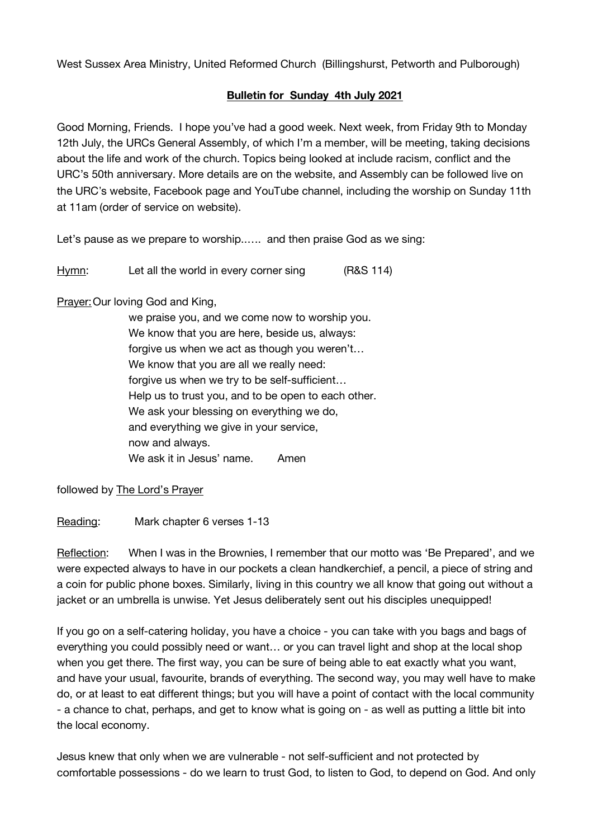West Sussex Area Ministry, United Reformed Church (Billingshurst, Petworth and Pulborough)

## **Bulletin for Sunday 4th July 2021**

Good Morning, Friends. I hope you've had a good week. Next week, from Friday 9th to Monday 12th July, the URCs General Assembly, of which I'm a member, will be meeting, taking decisions about the life and work of the church. Topics being looked at include racism, conflict and the URC's 50th anniversary. More details are on the website, and Assembly can be followed live on the URC's website, Facebook page and YouTube channel, including the worship on Sunday 11th at 11am (order of service on website).

Let's pause as we prepare to worship..…. and then praise God as we sing:

Hymn: Let all the world in every corner sing (R&S 114)

Prayer:Our loving God and King,

we praise you, and we come now to worship you. We know that you are here, beside us, always: forgive us when we act as though you weren't… We know that you are all we really need: forgive us when we try to be self-sufficient… Help us to trust you, and to be open to each other. We ask your blessing on everything we do, and everything we give in your service, now and always. We ask it in Jesus' name. Amen

followed by The Lord's Prayer

Reading: Mark chapter 6 verses 1-13

Reflection: When I was in the Brownies, I remember that our motto was 'Be Prepared', and we were expected always to have in our pockets a clean handkerchief, a pencil, a piece of string and a coin for public phone boxes. Similarly, living in this country we all know that going out without a jacket or an umbrella is unwise. Yet Jesus deliberately sent out his disciples unequipped!

If you go on a self-catering holiday, you have a choice - you can take with you bags and bags of everything you could possibly need or want… or you can travel light and shop at the local shop when you get there. The first way, you can be sure of being able to eat exactly what you want, and have your usual, favourite, brands of everything. The second way, you may well have to make do, or at least to eat different things; but you will have a point of contact with the local community - a chance to chat, perhaps, and get to know what is going on - as well as putting a little bit into the local economy.

Jesus knew that only when we are vulnerable - not self-sufficient and not protected by comfortable possessions - do we learn to trust God, to listen to God, to depend on God. And only